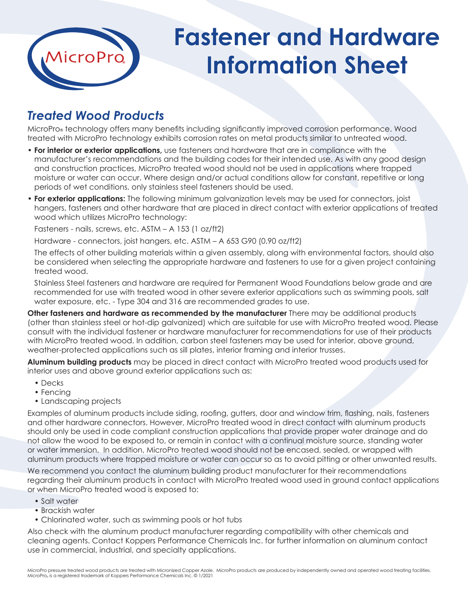

## **Fastener and Hardware Information Sheet**

## *Treated Wood Products*

MicroPro® technology offers many benefits including significantly improved corrosion performance. Wood treated with MicroPro technology exhibits corrosion rates on metal products similar to untreated wood.

- **For interior or exterior applications,** use fasteners and hardware that are in compliance with the manufacturer's recommendations and the building codes for their intended use. As with any good design and construction practices, MicroPro treated wood should not be used in applications where trapped moisture or water can occur. Where design and/or actual conditions allow for constant, repetitive or long periods of wet conditions, only stainless steel fasteners should be used.
- **For exterior applications:** The following minimum galvanization levels may be used for connectors, joist hangers, fasteners and other hardware that are placed in direct contact with exterior applications of treated wood which utilizes MicroPro technology:

Fasteners - nails, screws, etc. ASTM – A 153 (1 oz/ft2)

Hardware - connectors, joist hangers, etc. ASTM – A 653 G90 (0.90 oz/ft2)

The effects of other building materials within a given assembly, along with environmental factors, should also be considered when selecting the appropriate hardware and fasteners to use for a given project containing treated wood.

Stainless Steel fasteners and hardware are required for Permanent Wood Foundations below grade and are recommended for use with treated wood in other severe exterior applications such as swimming pools, salt water exposure, etc. - Type 304 and 316 are recommended grades to use.

**Other fasteners and hardware as recommended by the manufacturer** There may be additional products (other than stainless steel or hot-dip galvanized) which are suitable for use with MicroPro treated wood. Please consult with the individual fastener or hardware manufacturer for recommendations for use of their products with MicroPro treated wood. In addition, carbon steel fasteners may be used for interior, above ground, weather-protected applications such as sill plates, interior framing and interior trusses.

**Aluminum building products** may be placed in direct contact with MicroPro treated wood products used for interior uses and above ground exterior applications such as:

- Decks
- Fencing
- Landscaping projects

Examples of aluminum products include siding, roofing, gutters, door and window trim, flashing, nails, fasteners and other hardware connectors. However, MicroPro treated wood in direct contact with aluminum products should only be used in code compliant construction applications that provide proper water drainage and do not allow the wood to be exposed to, or remain in contact with a continual moisture source, standing water or water immersion. In addition, MicroPro treated wood should not be encased, sealed, or wrapped with aluminum products where trapped moisture or water can occur so as to avoid pitting or other unwanted results.

We recommend you contact the aluminum building product manufacturer for their recommendations regarding their aluminum products in contact with MicroPro treated wood used in ground contact applications or when MicroPro treated wood is exposed to:

- Salt water
- Brackish water
- Chlorinated water, such as swimming pools or hot tubs

Also check with the aluminum product manufacturer regarding compatibility with other chemicals and cleaning agents. Contact Koppers Performance Chemicals Inc. for further information on aluminum contact use in commercial, industrial, and specialty applications.